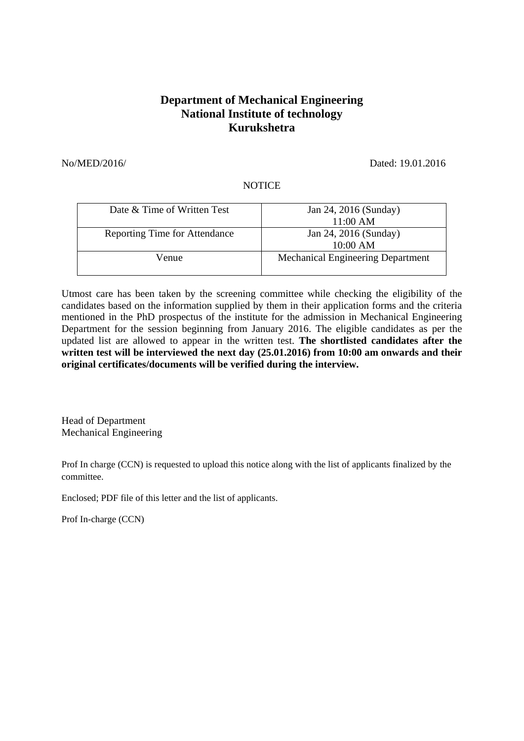## **Department of Mechanical Engineering National Institute of technology Kurukshetra**

No/MED/2016/ Dated: 19.01.2016

## **NOTICE**

| Date & Time of Written Test          | Jan 24, 2016 (Sunday)<br>11:00 AM        |
|--------------------------------------|------------------------------------------|
| <b>Reporting Time for Attendance</b> | Jan 24, 2016 (Sunday)<br>10:00 AM        |
| Venue                                | <b>Mechanical Engineering Department</b> |

Utmost care has been taken by the screening committee while checking the eligibility of the candidates based on the information supplied by them in their application forms and the criteria mentioned in the PhD prospectus of the institute for the admission in Mechanical Engineering Department for the session beginning from January 2016. The eligible candidates as per the updated list are allowed to appear in the written test. **The shortlisted candidates after the written test will be interviewed the next day (25.01.2016) from 10:00 am onwards and their original certificates/documents will be verified during the interview.**

Head of Department Mechanical Engineering

Prof In charge (CCN) is requested to upload this notice along with the list of applicants finalized by the committee.

Enclosed; PDF file of this letter and the list of applicants.

Prof In-charge (CCN)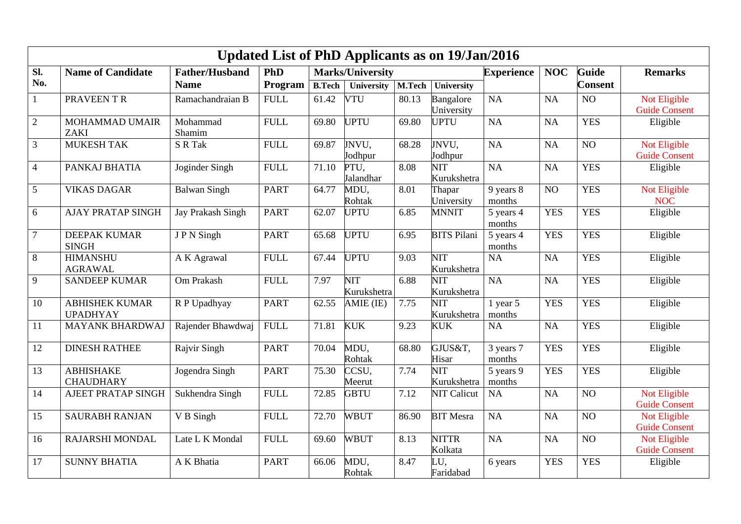| <b>Updated List of PhD Applicants as on 19/Jan/2016</b> |                                          |                       |                 |               |                           |        |                           |                        |            |                |                            |  |
|---------------------------------------------------------|------------------------------------------|-----------------------|-----------------|---------------|---------------------------|--------|---------------------------|------------------------|------------|----------------|----------------------------|--|
| Sl.                                                     | <b>Name of Candidate</b>                 | <b>Father/Husband</b> | PhD             |               | <b>Marks/University</b>   |        |                           | <b>Experience</b>      | <b>NOC</b> | <b>Guide</b>   | <b>Remarks</b>             |  |
| No.                                                     |                                          | <b>Name</b>           | Program         | <b>B.Tech</b> | University                | M.Tech | University                |                        |            | <b>Consent</b> |                            |  |
| $\mathbf{1}$                                            | PRAVEEN T R                              | Ramachandraian B      | ${\hbox{FULL}}$ | 61.42         | <b>VTU</b>                | 80.13  | Bangalore                 | <b>NA</b>              | NA         | NO             | Not Eligible               |  |
|                                                         |                                          |                       |                 |               |                           |        | University                |                        |            |                | <b>Guide Consent</b>       |  |
| $\mathbf{2}$                                            | MOHAMMAD UMAIR<br><b>ZAKI</b>            | Mohammad<br>Shamim    | <b>FULL</b>     | 69.80         | <b>UPTU</b>               | 69.80  | <b>UPTU</b>               | <b>NA</b>              | NA         | <b>YES</b>     | Eligible                   |  |
| 3                                                       | <b>MUKESH TAK</b>                        | S R Tak               | <b>FULL</b>     | 69.87         | JNVU,                     | 68.28  | JNVU,                     | NA                     | NA         | NO             | Not Eligible               |  |
|                                                         |                                          |                       |                 |               | Jodhpur                   |        | Jodhpur                   |                        |            |                | <b>Guide Consent</b>       |  |
| $\overline{4}$                                          | PANKAJ BHATIA                            | Joginder Singh        | <b>FULL</b>     | 71.10         | PTU,                      | 8.08   | NIT                       | NA                     | NA         | <b>YES</b>     | Eligible                   |  |
|                                                         |                                          |                       |                 |               | Jalandhar                 |        | Kurukshetra               |                        |            |                |                            |  |
| 5                                                       | <b>VIKAS DAGAR</b>                       | <b>Balwan Singh</b>   | <b>PART</b>     | 64.77         | MDU,<br>Rohtak            | 8.01   | Thapar<br>University      | 9 years 8<br>months    | NO         | <b>YES</b>     | Not Eligible<br><b>NOC</b> |  |
| 6                                                       | <b>AJAY PRATAP SINGH</b>                 | Jay Prakash Singh     | <b>PART</b>     | 62.07         | <b>UPTU</b>               | 6.85   | <b>MNNIT</b>              | 5 years 4<br>months    | <b>YES</b> | <b>YES</b>     | Eligible                   |  |
| $\overline{7}$                                          | <b>DEEPAK KUMAR</b><br><b>SINGH</b>      | JPN Singh             | <b>PART</b>     | 65.68         | <b>UPTU</b>               | 6.95   | <b>BITS Pilani</b>        | 5 years 4<br>months    | <b>YES</b> | <b>YES</b>     | Eligible                   |  |
| 8                                                       | <b>HIMANSHU</b>                          | A K Agrawal           | <b>FULL</b>     | 67.44         | <b>UPTU</b>               | 9.03   | NIT                       | NA                     | NA         | <b>YES</b>     | Eligible                   |  |
|                                                         | <b>AGRAWAL</b>                           |                       |                 |               |                           |        | Kurukshetra               |                        |            |                |                            |  |
| 9                                                       | <b>SANDEEP KUMAR</b>                     | Om Prakash            | <b>FULL</b>     | 7.97          | <b>NIT</b><br>Kurukshetra | 6.88   | NIT<br>Kurukshetra        | <b>NA</b>              | NA         | <b>YES</b>     | Eligible                   |  |
| 10                                                      | <b>ABHISHEK KUMAR</b><br><b>UPADHYAY</b> | R P Upadhyay          | <b>PART</b>     | 62.55         | AMIE (IE)                 | 7.75   | <b>NIT</b><br>Kurukshetra | $1$ year $5$<br>months | <b>YES</b> | <b>YES</b>     | Eligible                   |  |
| 11                                                      | <b>MAYANK BHARDWAJ</b>                   | Rajender Bhawdwaj     | ${\rm FULL}$    | 71.81         | <b>KUK</b>                | 9.23   | <b>KUK</b>                | NA                     | NA         | <b>YES</b>     | Eligible                   |  |
| 12                                                      | <b>DINESH RATHEE</b>                     | Rajvir Singh          | <b>PART</b>     | 70.04         | MDU,<br>Rohtak            | 68.80  | GJUS&T,<br>Hisar          | 3 years 7<br>months    | <b>YES</b> | <b>YES</b>     | Eligible                   |  |
| 13                                                      | <b>ABHISHAKE</b>                         | Jogendra Singh        | <b>PART</b>     | 75.30         | CCSU,                     | 7.74   | <b>NIT</b>                | 5 years 9              | <b>YES</b> | <b>YES</b>     | Eligible                   |  |
|                                                         | <b>CHAUDHARY</b>                         |                       |                 |               | Meerut                    |        | Kurukshetra               | months                 |            |                |                            |  |
| 14                                                      | AJEET PRATAP SINGH                       | Sukhendra Singh       | <b>FULL</b>     | 72.85         | <b>GBTU</b>               | 7.12   | <b>NIT Calicut</b>        | NA                     | NA         | NO             | Not Eligible               |  |
|                                                         |                                          |                       |                 |               |                           |        |                           |                        |            |                | <b>Guide Consent</b>       |  |
| 15                                                      | <b>SAURABH RANJAN</b>                    | V B Singh             | <b>FULL</b>     | 72.70         | <b>WBUT</b>               | 86.90  | <b>BIT Mesra</b>          | NA                     | NA         | NO             | Not Eligible               |  |
|                                                         |                                          |                       |                 |               |                           |        |                           |                        |            |                | <b>Guide Consent</b>       |  |
| 16                                                      | <b>RAJARSHI MONDAL</b>                   | Late L K Mondal       | <b>FULL</b>     | 69.60         | <b>WBUT</b>               | 8.13   | <b>NITTR</b>              | NA                     | NA         | NO             | Not Eligible               |  |
|                                                         |                                          |                       |                 |               |                           |        | Kolkata                   |                        |            |                | <b>Guide Consent</b>       |  |
| 17                                                      | <b>SUNNY BHATIA</b>                      | A K Bhatia            | <b>PART</b>     | 66.06         | MDU,<br>Rohtak            | 8.47   | JŪ,<br>Faridabad          | 6 years                | <b>YES</b> | <b>YES</b>     | Eligible                   |  |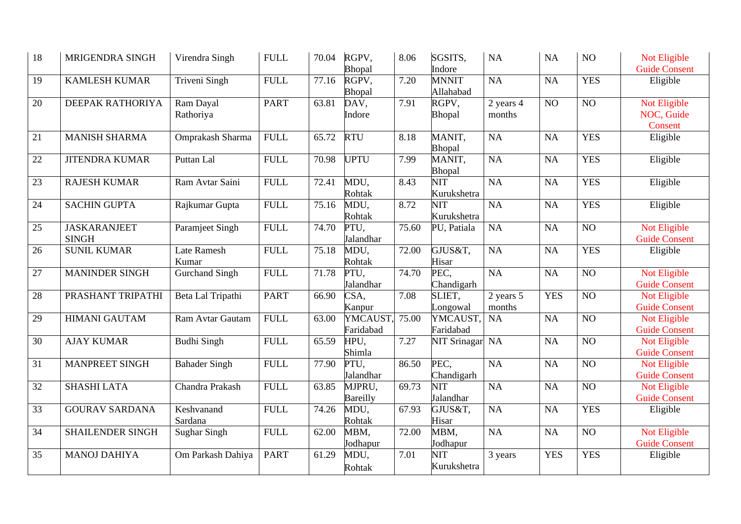| 18 | MRIGENDRA SINGH                     | Virendra Singh              | <b>FULL</b> | 70.04 | RGPV,<br>Bhopal           | 8.06  | SGSITS,<br>Indore                      | NA                  | <b>NA</b>  | NO             | Not Eligible<br><b>Guide Consent</b>  |
|----|-------------------------------------|-----------------------------|-------------|-------|---------------------------|-------|----------------------------------------|---------------------|------------|----------------|---------------------------------------|
| 19 | <b>KAMLESH KUMAR</b>                | Triveni Singh               | <b>FULL</b> | 77.16 | RGPV,<br>Bhopal           | 7.20  | <b>MNNIT</b><br>Allahabad              | NA                  | <b>NA</b>  | <b>YES</b>     | Eligible                              |
| 20 | DEEPAK RATHORIYA                    | Ram Dayal<br>Rathoriya      | <b>PART</b> | 63.81 | DAV,<br>Indore            | 7.91  | RGPV,<br>Bhopal                        | 2 years 4<br>months | NO         | NO             | Not Eligible<br>NOC, Guide<br>Consent |
| 21 | <b>MANISH SHARMA</b>                | Omprakash Sharma            | <b>FULL</b> | 65.72 | <b>RTU</b>                | 8.18  | MANIT,<br>Bhopal                       | <b>NA</b>           | <b>NA</b>  | <b>YES</b>     | Eligible                              |
| 22 | <b>JITENDRA KUMAR</b>               | Puttan Lal                  | <b>FULL</b> | 70.98 | <b>UPTU</b>               | 7.99  | MANIT,<br>Bhopal                       | <b>NA</b>           | <b>NA</b>  | <b>YES</b>     | Eligible                              |
| 23 | <b>RAJESH KUMAR</b>                 | Ram Avtar Saini             | <b>FULL</b> | 72.41 | MDU,<br>Rohtak            | 8.43  | $\overline{\text{NIT}}$<br>Kurukshetra | NA                  | <b>NA</b>  | <b>YES</b>     | Eligible                              |
| 24 | <b>SACHIN GUPTA</b>                 | Rajkumar Gupta              | <b>FULL</b> | 75.16 | MDU,<br>Rohtak            | 8.72  | <b>NIT</b><br>Kurukshetra              | <b>NA</b>           | <b>NA</b>  | <b>YES</b>     | Eligible                              |
| 25 | <b>JASKARANJEET</b><br><b>SINGH</b> | Paramjeet Singh             | <b>FULL</b> | 74.70 | PTU,<br>Jalandhar         | 75.60 | PU, Patiala                            | NA                  | <b>NA</b>  | $\rm NO$       | Not Eligible<br><b>Guide Consent</b>  |
| 26 | <b>SUNIL KUMAR</b>                  | <b>Late Ramesh</b><br>Kumar | <b>FULL</b> | 75.18 | MDU,<br>Rohtak            | 72.00 | GJUS&T,<br>Hisar                       | NA                  | <b>NA</b>  | <b>YES</b>     | Eligible                              |
| 27 | <b>MANINDER SINGH</b>               | <b>Gurchand Singh</b>       | <b>FULL</b> | 71.78 | PTU,<br>Jalandhar         | 74.70 | PEC,<br>Chandigarh                     | NA                  | <b>NA</b>  | N <sub>O</sub> | Not Eligible<br><b>Guide Consent</b>  |
| 28 | PRASHANT TRIPATHI                   | Beta Lal Tripathi           | <b>PART</b> | 66.90 | CSA,<br>Kanpur            | 7.08  | SLIET,<br>Longowal                     | 2 years 5<br>months | <b>YES</b> | N <sub>O</sub> | Not Eligible<br><b>Guide Consent</b>  |
| 29 | <b>HIMANI GAUTAM</b>                | Ram Avtar Gautam            | <b>FULL</b> | 63.00 | YMCAUST,<br>Faridabad     | 75.00 | YMCAUST,<br>Faridabad                  | NA                  | <b>NA</b>  | N <sub>O</sub> | Not Eligible<br><b>Guide Consent</b>  |
| 30 | <b>AJAY KUMAR</b>                   | <b>Budhi Singh</b>          | <b>FULL</b> | 65.59 | HPU,<br>Shimla            | 7.27  | <b>NIT Srinagar</b>                    | <b>NA</b>           | <b>NA</b>  | NO             | Not Eligible<br><b>Guide Consent</b>  |
| 31 | MANPREET SINGH                      | <b>Bahader Singh</b>        | <b>FULL</b> | 77.90 | PTU,<br>Jalandhar         | 86.50 | PEC.<br>Chandigarh                     | NA                  | <b>NA</b>  | NO             | Not Eligible<br><b>Guide Consent</b>  |
| 32 | <b>SHASHI LATA</b>                  | Chandra Prakash             | <b>FULL</b> | 63.85 | MJPRU,<br><b>Bareilly</b> | 69.73 | <b>NIT</b><br>Jalandhar                | <b>NA</b>           | <b>NA</b>  | N <sub>O</sub> | Not Eligible<br><b>Guide Consent</b>  |
| 33 | <b>GOURAV SARDANA</b>               | Keshvanand<br>Sardana       | <b>FULL</b> | 74.26 | MDU,<br>Rohtak            | 67.93 | GJUS&T,<br>Hisar                       | <b>NA</b>           | <b>NA</b>  | <b>YES</b>     | Eligible                              |
| 34 | SHAILENDER SINGH                    | <b>Sughar Singh</b>         | <b>FULL</b> | 62.00 | MBM,<br>Jodhapur          | 72.00 | MBM,<br>Jodhapur                       | <b>NA</b>           | <b>NA</b>  | NO             | Not Eligible<br><b>Guide Consent</b>  |
| 35 | <b>MANOJ DAHIYA</b>                 | Om Parkash Dahiya           | <b>PART</b> | 61.29 | MDU,<br>Rohtak            | 7.01  | <b>NIT</b><br>Kurukshetra              | 3 years             | <b>YES</b> | <b>YES</b>     | Eligible                              |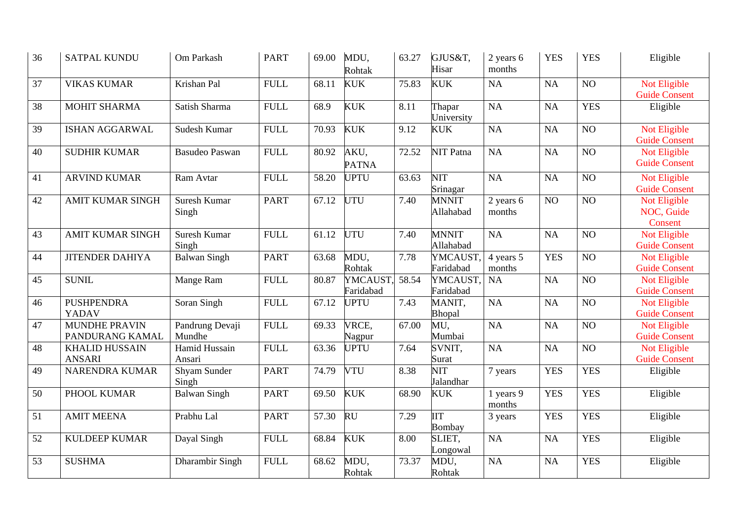| 36 | <b>SATPAL KUNDU</b>                     | Om Parkash                | <b>PART</b>     | 69.00 | MDU,<br>Rohtak        | 63.27 | GJUS&T,<br>Hisar            | 2 years 6<br>months     | <b>YES</b>      | <b>YES</b>      | Eligible                              |
|----|-----------------------------------------|---------------------------|-----------------|-------|-----------------------|-------|-----------------------------|-------------------------|-----------------|-----------------|---------------------------------------|
| 37 | <b>VIKAS KUMAR</b>                      | Krishan Pal               | <b>FULL</b>     | 68.11 | <b>KUK</b>            | 75.83 | <b>KUK</b>                  | NA                      | NA              | N <sub>O</sub>  | Not Eligible<br><b>Guide Consent</b>  |
| 38 | <b>MOHIT SHARMA</b>                     | Satish Sharma             | <b>FULL</b>     | 68.9  | <b>KUK</b>            | 8.11  | Thapar<br>University        | NA                      | NA              | <b>YES</b>      | Eligible                              |
| 39 | <b>ISHAN AGGARWAL</b>                   | Sudesh Kumar              | <b>FULL</b>     | 70.93 | <b>KUK</b>            | 9.12  | <b>KUK</b>                  | NA                      | NA              | NO              | Not Eligible<br><b>Guide Consent</b>  |
| 40 | <b>SUDHIR KUMAR</b>                     | <b>Basudeo Paswan</b>     | <b>FULL</b>     | 80.92 | AKU,<br><b>PATNA</b>  | 72.52 | NIT Patna                   | NA                      | NA              | N <sub>O</sub>  | Not Eligible<br><b>Guide Consent</b>  |
| 41 | <b>ARVIND KUMAR</b>                     | Ram Avtar                 | ${\hbox{FULL}}$ | 58.20 | <b>UPTU</b>           | 63.63 | <b>NIT</b><br>Srinagar      | NA                      | NA              | N <sub>O</sub>  | Not Eligible<br><b>Guide Consent</b>  |
| 42 | <b>AMIT KUMAR SINGH</b>                 | Suresh Kumar<br>Singh     | <b>PART</b>     | 67.12 | UTU                   | 7.40  | <b>MNNIT</b><br>Allahabad   | $2$ years $6$<br>months | $\overline{NO}$ | $\overline{NO}$ | Not Eligible<br>NOC, Guide<br>Consent |
| 43 | <b>AMIT KUMAR SINGH</b>                 | Suresh Kumar<br>Singh     | <b>FULL</b>     | 61.12 | <b>UTU</b>            | 7.40  | <b>MNNIT</b><br>Allahabad   | NA                      | NA              | NO              | Not Eligible<br><b>Guide Consent</b>  |
| 44 | <b>JITENDER DAHIYA</b>                  | <b>Balwan Singh</b>       | <b>PART</b>     | 63.68 | MDU,<br>Rohtak        | 7.78  | YMCAUST,<br>Faridabad       | 4 years 5<br>months     | <b>YES</b>      | $\overline{NO}$ | Not Eligible<br><b>Guide Consent</b>  |
| 45 | <b>SUNIL</b>                            | Mange Ram                 | <b>FULL</b>     | 80.87 | YMCAUST,<br>Faridabad | 58.54 | YMCAUST,<br>Faridabad       | NA                      | NA              | NO              | Not Eligible<br><b>Guide Consent</b>  |
| 46 | <b>PUSHPENDRA</b><br>YADAV              | Soran Singh               | <b>FULL</b>     | 67.12 | <b>UPTU</b>           | 7.43  | MANIT,<br>Bhopal            | NA                      | NA              | $\overline{NO}$ | Not Eligible<br><b>Guide Consent</b>  |
| 47 | <b>MUNDHE PRAVIN</b><br>PANDURANG KAMAL | Pandrung Devaji<br>Mundhe | <b>FULL</b>     | 69.33 | VRCE,<br>Nagpur       | 67.00 | MU,<br>Mumbai               | NA                      | NA              | $\overline{NO}$ | Not Eligible<br><b>Guide Consent</b>  |
| 48 | <b>KHALID HUSSAIN</b><br><b>ANSARI</b>  | Hamid Hussain<br>Ansari   | <b>FULL</b>     | 63.36 | <b>UPTU</b>           | 7.64  | SVNIT,<br>Surat             | NA                      | NA              | NO              | Not Eligible<br><b>Guide Consent</b>  |
| 49 | <b>NARENDRA KUMAR</b>                   | Shyam Sunder<br>Singh     | <b>PART</b>     | 74.79 | <b>VTU</b>            | 8.38  | NIT<br>Jalandhar            | 7 years                 | <b>YES</b>      | <b>YES</b>      | Eligible                              |
| 50 | PHOOL KUMAR                             | <b>Balwan Singh</b>       | <b>PART</b>     | 69.50 | <b>KUK</b>            | 68.90 | <b>KUK</b>                  | 1 years 9<br>months     | <b>YES</b>      | <b>YES</b>      | Eligible                              |
| 51 | <b>AMIT MEENA</b>                       | Prabhu Lal                | <b>PART</b>     | 57.30 | <b>RU</b>             | 7.29  | <b>IIT</b><br><b>Bombay</b> | 3 years                 | <b>YES</b>      | <b>YES</b>      | Eligible                              |
| 52 | <b>KULDEEP KUMAR</b>                    | Dayal Singh               | <b>FULL</b>     | 68.84 | <b>KUK</b>            | 8.00  | SLIET,<br>Longowal          | NA                      | NA              | <b>YES</b>      | Eligible                              |
| 53 | <b>SUSHMA</b>                           | Dharambir Singh           | <b>FULL</b>     | 68.62 | MDU,<br>Rohtak        | 73.37 | MDU,<br>Rohtak              | NA                      | NA              | <b>YES</b>      | Eligible                              |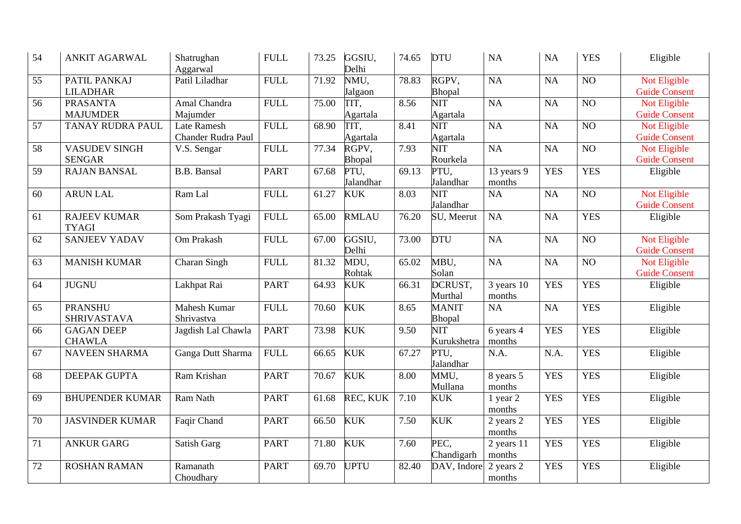| 54 | <b>ANKIT AGARWAL</b>                  | Shatrughan<br>Aggarwal            | <b>FULL</b> | 73.25 | GGSIU,<br>Delhi   | 74.65 | <b>DTU</b>                | NA                                | NA         | <b>YES</b>      | Eligible                             |
|----|---------------------------------------|-----------------------------------|-------------|-------|-------------------|-------|---------------------------|-----------------------------------|------------|-----------------|--------------------------------------|
| 55 | PATIL PANKAJ<br><b>LILADHAR</b>       | Patil Liladhar                    | <b>FULL</b> | 71.92 | NMU,<br>Jalgaon   | 78.83 | RGPV,<br>Bhopal           | NA                                | <b>NA</b>  | NO              | Not Eligible<br><b>Guide Consent</b> |
| 56 | <b>PRASANTA</b><br><b>MAJUMDER</b>    | Amal Chandra<br>Majumder          | <b>FULL</b> | 75.00 | TIT,<br>Agartala  | 8.56  | NIT<br>Agartala           | NA                                | <b>NA</b>  | $\overline{NO}$ | Not Eligible<br><b>Guide Consent</b> |
| 57 | TANAY RUDRA PAUL                      | Late Ramesh<br>Chander Rudra Paul | <b>FULL</b> | 68.90 | TIT.<br>Agartala  | 8.41  | <b>NIT</b><br>Agartala    | NA                                | <b>NA</b>  | NO              | Not Eligible<br><b>Guide Consent</b> |
| 58 | <b>VASUDEV SINGH</b><br><b>SENGAR</b> | V.S. Sengar                       | <b>FULL</b> | 77.34 | RGPV,<br>Bhopal   | 7.93  | NIT<br>Rourkela           | NA                                | <b>NA</b>  | $\overline{NO}$ | Not Eligible<br><b>Guide Consent</b> |
| 59 | <b>RAJAN BANSAL</b>                   | <b>B.B.</b> Bansal                | <b>PART</b> | 67.68 | PTU,<br>Jalandhar | 69.13 | PTU,<br>Jalandhar         | 13 years 9<br>months              | <b>YES</b> | <b>YES</b>      | Eligible                             |
| 60 | <b>ARUN LAL</b>                       | Ram Lal                           | <b>FULL</b> | 61.27 | <b>KUK</b>        | 8.03  | <b>NIT</b><br>Jalandhar   | NA                                | NA         | NO              | Not Eligible<br><b>Guide Consent</b> |
| 61 | <b>RAJEEV KUMAR</b><br><b>TYAGI</b>   | Som Prakash Tyagi                 | <b>FULL</b> | 65.00 | <b>RMLAU</b>      | 76.20 | SU, Meerut                | NA                                | NA         | <b>YES</b>      | Eligible                             |
| 62 | <b>SANJEEV YADAV</b>                  | Om Prakash                        | <b>FULL</b> | 67.00 | GGSIU,<br>Delhi   | 73.00 | <b>DTU</b>                | NA                                | NA         | NO              | Not Eligible<br><b>Guide Consent</b> |
| 63 | <b>MANISH KUMAR</b>                   | Charan Singh                      | <b>FULL</b> | 81.32 | MDU,<br>Rohtak    | 65.02 | MBU,<br>Solan             | NA                                | NA         | NO              | Not Eligible<br><b>Guide Consent</b> |
| 64 | <b>JUGNU</b>                          | Lakhpat Rai                       | <b>PART</b> | 64.93 | <b>KUK</b>        | 66.31 | DCRUST,<br>Murthal        | $\overline{3}$ years 10<br>months | <b>YES</b> | <b>YES</b>      | Eligible                             |
| 65 | <b>PRANSHU</b><br><b>SHRIVASTAVA</b>  | <b>Mahesh Kumar</b><br>Shrivastva | <b>FULL</b> | 70.60 | <b>KUK</b>        | 8.65  | <b>MANIT</b><br>Bhopal    | <b>NA</b>                         | NA         | <b>YES</b>      | Eligible                             |
| 66 | <b>GAGAN DEEP</b><br><b>CHAWLA</b>    | Jagdish Lal Chawla                | <b>PART</b> | 73.98 | <b>KUK</b>        | 9.50  | <b>NIT</b><br>Kurukshetra | 6 years 4<br>months               | <b>YES</b> | <b>YES</b>      | Eligible                             |
| 67 | <b>NAVEEN SHARMA</b>                  | Ganga Dutt Sharma                 | <b>FULL</b> | 66.65 | <b>KUK</b>        | 67.27 | PTU,<br>Jalandhar         | N.A.                              | N.A.       | <b>YES</b>      | Eligible                             |
| 68 | DEEPAK GUPTA                          | Ram Krishan                       | <b>PART</b> | 70.67 | <b>KUK</b>        | 8.00  | MMU,<br>Mullana           | 8 years 5<br>months               | <b>YES</b> | <b>YES</b>      | Eligible                             |
| 69 | <b>BHUPENDER KUMAR</b>                | Ram Nath                          | <b>PART</b> | 61.68 | REC, KUK          | 7.10  | <b>KUK</b>                | 1 year 2<br>months                | <b>YES</b> | <b>YES</b>      | Eligible                             |
| 70 | <b>JASVINDER KUMAR</b>                | Faqir Chand                       | <b>PART</b> | 66.50 | <b>KUK</b>        | 7.50  | <b>KUK</b>                | 2 years 2<br>months               | <b>YES</b> | <b>YES</b>      | Eligible                             |
| 71 | <b>ANKUR GARG</b>                     | Satish Garg                       | <b>PART</b> | 71.80 | <b>KUK</b>        | 7.60  | PEC,<br>Chandigarh        | 2 years 11<br>months              | <b>YES</b> | <b>YES</b>      | Eligible                             |
| 72 | <b>ROSHAN RAMAN</b>                   | Ramanath<br>Choudhary             | <b>PART</b> | 69.70 | <b>UPTU</b>       | 82.40 | DAV, Indore               | 2 years 2<br>months               | <b>YES</b> | <b>YES</b>      | Eligible                             |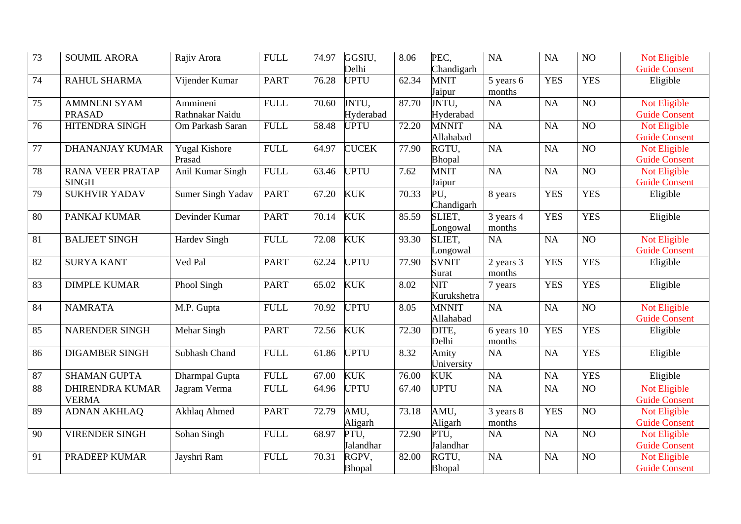| 73 | <b>SOUMIL ARORA</b>                     | Rajiv Arora                    | <b>FULL</b>     | 74.97 | GGSIU,<br>Delhi    | 8.06               | PEC,<br>Chandigarh        | NA                   | NA         | NO              | Not Eligible<br><b>Guide Consent</b> |
|----|-----------------------------------------|--------------------------------|-----------------|-------|--------------------|--------------------|---------------------------|----------------------|------------|-----------------|--------------------------------------|
| 74 | RAHUL SHARMA                            | Vijender Kumar                 | <b>PART</b>     | 76.28 | <b>UPTU</b>        | 62.34              | <b>MNIT</b><br>Jaipur     | 5 years 6<br>months  | <b>YES</b> | <b>YES</b>      | Eligible                             |
| 75 | <b>AMMNENI SYAM</b><br><b>PRASAD</b>    | Ammineni<br>Rathnakar Naidu    | <b>FULL</b>     | 70.60 | JNTU,<br>Hyderabad | 87.70              | JNTU,<br>Hyderabad        | NA                   | NA         | N <sub>O</sub>  | Not Eligible<br><b>Guide Consent</b> |
| 76 | HITENDRA SINGH                          | Om Parkash Saran               | <b>FULL</b>     | 58.48 | <b>UPTU</b>        | 72.20              | <b>MNNIT</b><br>Allahabad | NA                   | NA         | N <sub>O</sub>  | Not Eligible<br><b>Guide Consent</b> |
| 77 | <b>DHANANJAY KUMAR</b>                  | <b>Yugal Kishore</b><br>Prasad | <b>FULL</b>     | 64.97 | <b>CUCEK</b>       | 77.90              | RGTU.<br>Bhopal           | NA                   | NA         | N <sub>O</sub>  | Not Eligible<br><b>Guide Consent</b> |
| 78 | <b>RANA VEER PRATAP</b><br><b>SINGH</b> | Anil Kumar Singh               | <b>FULL</b>     | 63.46 | <b>UPTU</b>        | 7.62               | <b>MNIT</b><br>Jaipur     | NA                   | NA         | $\overline{NO}$ | Not Eligible<br><b>Guide Consent</b> |
| 79 | <b>SUKHVIR YADAV</b>                    | Sumer Singh Yadav              | <b>PART</b>     | 67.20 | <b>KUK</b>         | 70.33              | PU,<br>Chandigarh         | 8 years              | <b>YES</b> | <b>YES</b>      | Eligible                             |
| 80 | PANKAJ KUMAR                            | Devinder Kumar                 | <b>PART</b>     | 70.14 | <b>KUK</b>         | 85.59              | SLIET,<br>Longowal        | 3 years 4<br>months  | <b>YES</b> | <b>YES</b>      | Eligible                             |
| 81 | <b>BALJEET SINGH</b>                    | <b>Hardev Singh</b>            | <b>FULL</b>     | 72.08 | <b>KUK</b>         | 93.30              | SLIET,<br>Longowal        | NA                   | NA         | N <sub>O</sub>  | Not Eligible<br><b>Guide Consent</b> |
| 82 | <b>SURYA KANT</b>                       | Ved Pal                        | <b>PART</b>     | 62.24 | <b>UPTU</b>        | 77.90              | <b>SVNIT</b><br>Surat     | 2 years 3<br>months  | <b>YES</b> | <b>YES</b>      | Eligible                             |
| 83 | <b>DIMPLE KUMAR</b>                     | Phool Singh                    | <b>PART</b>     | 65.02 | <b>KUK</b>         | 8.02               | NIT<br>Kurukshetra        | 7 years              | <b>YES</b> | <b>YES</b>      | Eligible                             |
| 84 | <b>NAMRATA</b>                          | M.P. Gupta                     | <b>FULL</b>     | 70.92 | <b>UPTU</b>        | 8.05               | <b>MNNIT</b><br>Allahabad | NA                   | NA         | N <sub>O</sub>  | Not Eligible<br><b>Guide Consent</b> |
| 85 | <b>NARENDER SINGH</b>                   | Mehar Singh                    | <b>PART</b>     | 72.56 | <b>KUK</b>         | 72.30              | DITE,<br>Delhi            | 6 years 10<br>months | <b>YES</b> | <b>YES</b>      | Eligible                             |
| 86 | <b>DIGAMBER SINGH</b>                   | <b>Subhash Chand</b>           | <b>FULL</b>     | 61.86 | <b>UPTU</b>        | 8.32               | Amity<br>University       | NA                   | NA         | <b>YES</b>      | Eligible                             |
| 87 | <b>SHAMAN GUPTA</b>                     | Dharmpal Gupta                 | <b>FULL</b>     | 67.00 | <b>KUK</b>         | 76.00              | <b>KUK</b>                | NA                   | <b>NA</b>  | <b>YES</b>      | Eligible                             |
| 88 | <b>DHIRENDRA KUMAR</b><br><b>VERMA</b>  | Jagram Verma                   | ${\hbox{FULL}}$ | 64.96 | <b>UPTU</b>        | 67.40              | <b>UPTU</b>               | NA                   | NA         | NO              | Not Eligible<br><b>Guide Consent</b> |
| 89 | <b>ADNAN AKHLAQ</b>                     | Akhlaq Ahmed                   | <b>PART</b>     | 72.79 | AMU,<br>Aligarh    | 73.18              | AMU,<br>Aligarh           | 3 years 8<br>months  | <b>YES</b> | NO              | Not Eligible<br><b>Guide Consent</b> |
| 90 | <b>VIRENDER SINGH</b>                   | Sohan Singh                    | <b>FULL</b>     | 68.97 | PTU,<br>Jalandhar  | 72.90              | PTU,<br>Jalandhar         | NA                   | NA         | NO              | Not Eligible<br><b>Guide Consent</b> |
| 91 | PRADEEP KUMAR                           | Jayshri Ram                    | <b>FULL</b>     | 70.31 | RGPV,<br>Bhopal    | $\overline{82.00}$ | RGTU,<br>Bhopal           | NA                   | <b>NA</b>  | N <sub>O</sub>  | Not Eligible<br><b>Guide Consent</b> |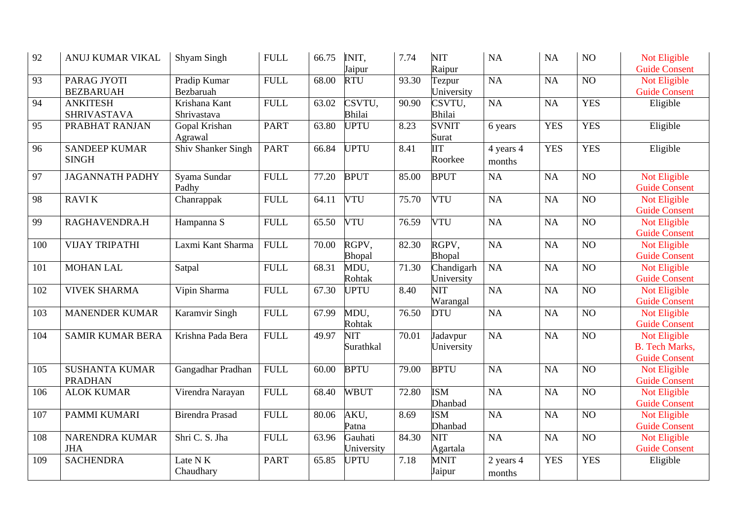| 92  | ANUJ KUMAR VIKAL                        | Shyam Singh                  | <b>FULL</b> | 66.75 | INIT,<br>Jaipur         | 7.74  | <b>NIT</b><br>Raipur               | NA                  | <b>NA</b>  | NO <sub>1</sub> | Not Eligible<br><b>Guide Consent</b>                          |
|-----|-----------------------------------------|------------------------------|-------------|-------|-------------------------|-------|------------------------------------|---------------------|------------|-----------------|---------------------------------------------------------------|
| 93  | PARAG JYOTI<br><b>BEZBARUAH</b>         | Pradip Kumar<br>Bezbaruah    | <b>FULL</b> | 68.00 | <b>RTU</b>              | 93.30 | Tezpur<br>University               | <b>NA</b>           | NA         | NO              | Not Eligible<br><b>Guide Consent</b>                          |
| 94  | <b>ANKITESH</b><br><b>SHRIVASTAVA</b>   | Krishana Kant<br>Shrivastava | <b>FULL</b> | 63.02 | CSVTU,<br><b>Bhilai</b> | 90.90 | CSVTU,<br><b>Bhilai</b>            | NA                  | <b>NA</b>  | <b>YES</b>      | Eligible                                                      |
| 95  | PRABHAT RANJAN                          | Gopal Krishan<br>Agrawal     | <b>PART</b> | 63.80 | <b>UPTU</b>             | 8.23  | <b>SVNIT</b><br>Surat              | 6 years             | <b>YES</b> | <b>YES</b>      | Eligible                                                      |
| 96  | <b>SANDEEP KUMAR</b><br><b>SINGH</b>    | Shiv Shanker Singh           | <b>PART</b> | 66.84 | <b>UPTU</b>             | 8.41  | $\overline{\text{IIT}}$<br>Roorkee | 4 years 4<br>months | <b>YES</b> | <b>YES</b>      | Eligible                                                      |
| 97  | <b>JAGANNATH PADHY</b>                  | Syama Sundar<br>Padhy        | <b>FULL</b> | 77.20 | <b>BPUT</b>             | 85.00 | <b>BPUT</b>                        | NA                  | <b>NA</b>  | NO <sub>1</sub> | Not Eligible<br><b>Guide Consent</b>                          |
| 98  | <b>RAVIK</b>                            | Chanrappak                   | <b>FULL</b> | 64.11 | <b>VTU</b>              | 75.70 | <b>VTU</b>                         | NA                  | <b>NA</b>  | NO              | Not Eligible<br><b>Guide Consent</b>                          |
| 99  | RAGHAVENDRA.H                           | Hampanna S                   | <b>FULL</b> | 65.50 | <b>VTU</b>              | 76.59 | <b>VTU</b>                         | <b>NA</b>           | NA         | $\overline{NO}$ | Not Eligible<br><b>Guide Consent</b>                          |
| 100 | <b>VIJAY TRIPATHI</b>                   | Laxmi Kant Sharma            | <b>FULL</b> | 70.00 | RGPV,<br>Bhopal         | 82.30 | RGPV,<br>Bhopal                    | NA                  | NA         | N <sub>O</sub>  | Not Eligible<br><b>Guide Consent</b>                          |
| 101 | <b>MOHAN LAL</b>                        | Satpal                       | <b>FULL</b> | 68.31 | MDU,<br>Rohtak          | 71.30 | Chandigarh<br>University           | NA                  | NA         | N <sub>O</sub>  | Not Eligible<br><b>Guide Consent</b>                          |
| 102 | <b>VIVEK SHARMA</b>                     | Vipin Sharma                 | <b>FULL</b> | 67.30 | <b>UPTU</b>             | 8.40  | NIT<br>Warangal                    | NA                  | NA         | N <sub>O</sub>  | Not Eligible<br><b>Guide Consent</b>                          |
| 103 | <b>MANENDER KUMAR</b>                   | Karamvir Singh               | <b>FULL</b> | 67.99 | MDU,<br>Rohtak          | 76.50 | <b>DTU</b>                         | NA                  | NA         | N <sub>O</sub>  | Not Eligible<br><b>Guide Consent</b>                          |
| 104 | <b>SAMIR KUMAR BERA</b>                 | Krishna Pada Bera            | <b>FULL</b> | 49.97 | <b>NIT</b><br>Surathkal | 70.01 | Jadavpur<br>University             | NA                  | NA         | NO              | Not Eligible<br><b>B.</b> Tech Marks,<br><b>Guide Consent</b> |
| 105 | <b>SUSHANTA KUMAR</b><br><b>PRADHAN</b> | Gangadhar Pradhan            | <b>FULL</b> | 60.00 | <b>BPTU</b>             | 79.00 | <b>BPTU</b>                        | NA                  | NA         | N <sub>O</sub>  | Not Eligible<br><b>Guide Consent</b>                          |
| 106 | <b>ALOK KUMAR</b>                       | Virendra Narayan             | <b>FULL</b> | 68.40 | <b>WBUT</b>             | 72.80 | <b>ISM</b><br>Dhanbad              | NA                  | NA         | NO              | Not Eligible<br><b>Guide Consent</b>                          |
| 107 | PAMMI KUMARI                            | <b>Birendra Prasad</b>       | <b>FULL</b> | 80.06 | AKU,<br>Patna           | 8.69  | <b>ISM</b><br>Dhanbad              | NA                  | NA         | NO              | Not Eligible<br><b>Guide Consent</b>                          |
| 108 | NARENDRA KUMAR<br><b>JHA</b>            | Shri C. S. Jha               | <b>FULL</b> | 63.96 | Gauhati<br>University   | 84.30 | <b>NIT</b><br>Agartala             | NA                  | NA         | NO              | Not Eligible<br><b>Guide Consent</b>                          |
| 109 | <b>SACHENDRA</b>                        | Late N K<br>Chaudhary        | <b>PART</b> | 65.85 | <b>UPTU</b>             | 7.18  | <b>MNIT</b><br>Jaipur              | 2 years 4<br>months | <b>YES</b> | <b>YES</b>      | Eligible                                                      |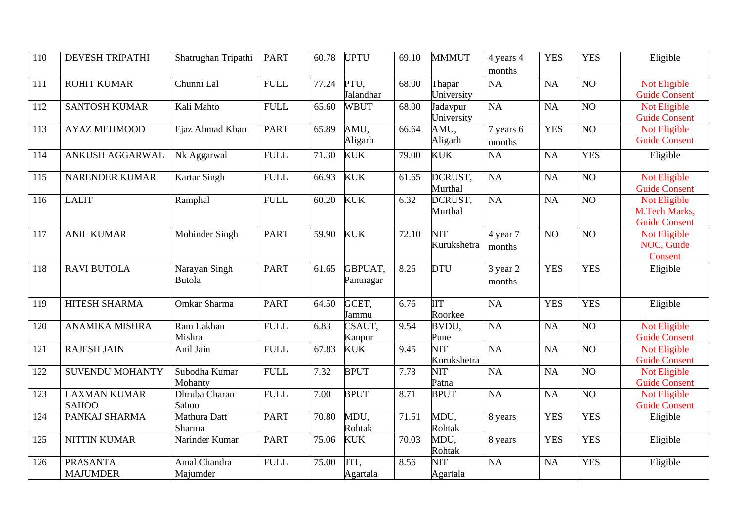| 110 | <b>DEVESH TRIPATHI</b>              | Shatrughan Tripathi      | <b>PART</b> | 60.78 | <b>UPTU</b>          | 69.10 | <b>MMMUT</b>                           | 4 years 4<br>months | <b>YES</b> | <b>YES</b>      | Eligible                                              |
|-----|-------------------------------------|--------------------------|-------------|-------|----------------------|-------|----------------------------------------|---------------------|------------|-----------------|-------------------------------------------------------|
| 111 | <b>ROHIT KUMAR</b>                  | Chunni Lal               | <b>FULL</b> | 77.24 | PTU,<br>Jalandhar    | 68.00 | Thapar<br>University                   | NA                  | NA         | NO              | Not Eligible<br><b>Guide Consent</b>                  |
| 112 | <b>SANTOSH KUMAR</b>                | Kali Mahto               | <b>FULL</b> | 65.60 | <b>WBUT</b>          | 68.00 | Jadavpur<br>University                 | NA                  | NA         | NO              | Not Eligible<br><b>Guide Consent</b>                  |
| 113 | <b>AYAZ MEHMOOD</b>                 | Ejaz Ahmad Khan          | <b>PART</b> | 65.89 | AMU,<br>Aligarh      | 66.64 | AMU,<br>Aligarh                        | 7 years 6<br>months | <b>YES</b> | N <sub>O</sub>  | Not Eligible<br><b>Guide Consent</b>                  |
| 114 | ANKUSH AGGARWAL                     | Nk Aggarwal              | <b>FULL</b> | 71.30 | <b>KUK</b>           | 79.00 | <b>KUK</b>                             | <b>NA</b>           | <b>NA</b>  | <b>YES</b>      | Eligible                                              |
| 115 | <b>NARENDER KUMAR</b>               | <b>Kartar Singh</b>      | <b>FULL</b> | 66.93 | <b>KUK</b>           | 61.65 | DCRUST,<br>Murthal                     | NA                  | NA         | N <sub>O</sub>  | <b>Not Eligible</b><br><b>Guide Consent</b>           |
| 116 | <b>LALIT</b>                        | Ramphal                  | <b>FULL</b> | 60.20 | <b>KUK</b>           | 6.32  | DCRUST,<br>Murthal                     | NA                  | NA         | $\overline{NO}$ | Not Eligible<br>M.Tech Marks,<br><b>Guide Consent</b> |
| 117 | <b>ANIL KUMAR</b>                   | Mohinder Singh           | <b>PART</b> | 59.90 | <b>KUK</b>           | 72.10 | <b>NIT</b><br>Kurukshetra              | 4 year 7<br>months  | NO         | NO              | Not Eligible<br>NOC, Guide<br>Consent                 |
| 118 | <b>RAVI BUTOLA</b>                  | Narayan Singh<br>Butola  | <b>PART</b> | 61.65 | GBPUAT,<br>Pantnagar | 8.26  | <b>DTU</b>                             | 3 year 2<br>months  | <b>YES</b> | <b>YES</b>      | Eligible                                              |
| 119 | HITESH SHARMA                       | Omkar Sharma             | <b>PART</b> | 64.50 | GCET,<br>Jammu       | 6.76  | <b>IIT</b><br>Roorkee                  | NA                  | <b>YES</b> | <b>YES</b>      | Eligible                                              |
| 120 | <b>ANAMIKA MISHRA</b>               | Ram Lakhan<br>Mishra     | <b>FULL</b> | 6.83  | CSAUT,<br>Kanpur     | 9.54  | BVDU,<br>Pune                          | NA                  | NA         | N <sub>O</sub>  | Not Eligible<br><b>Guide Consent</b>                  |
| 121 | <b>RAJESH JAIN</b>                  | Anil Jain                | <b>FULL</b> | 67.83 | <b>KUK</b>           | 9.45  | $\overline{\text{NIT}}$<br>Kurukshetra | NA                  | NA         | N <sub>O</sub>  | Not Eligible<br><b>Guide Consent</b>                  |
| 122 | <b>SUVENDU MOHANTY</b>              | Subodha Kumar<br>Mohanty | <b>FULL</b> | 7.32  | <b>BPUT</b>          | 7.73  | <b>NIT</b><br>Patna                    | NA                  | NA         | NO <sub>1</sub> | Not Eligible<br><b>Guide Consent</b>                  |
| 123 | <b>LAXMAN KUMAR</b><br><b>SAHOO</b> | Dhruba Charan<br>Sahoo   | <b>FULL</b> | 7.00  | <b>BPUT</b>          | 8.71  | <b>BPUT</b>                            | NA                  | NA         | NO              | Not Eligible<br><b>Guide Consent</b>                  |
| 124 | PANKAJ SHARMA                       | Mathura Datt<br>Sharma   | <b>PART</b> | 70.80 | MDU,<br>Rohtak       | 71.51 | MDU,<br>Rohtak                         | 8 years             | <b>YES</b> | <b>YES</b>      | Eligible                                              |
| 125 | <b>NITTIN KUMAR</b>                 | Narinder Kumar           | <b>PART</b> | 75.06 | <b>KUK</b>           | 70.03 | MDU,<br>Rohtak                         | 8 years             | <b>YES</b> | <b>YES</b>      | Eligible                                              |
| 126 | <b>PRASANTA</b><br><b>MAJUMDER</b>  | Amal Chandra<br>Majumder | <b>FULL</b> | 75.00 | TIT,<br>Agartala     | 8.56  | <b>NIT</b><br>Agartala                 | NA                  | NA         | <b>YES</b>      | Eligible                                              |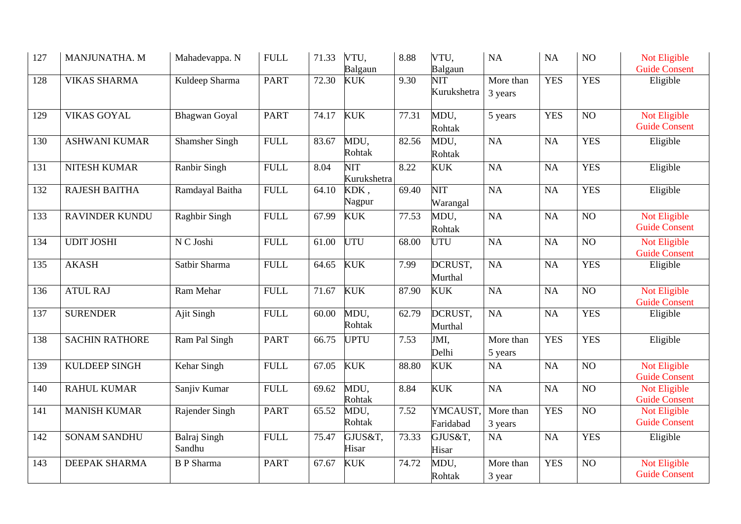| 127 | MANJUNATHA. M         | Mahadevappa. N                | <b>FULL</b> | 71.33 | VTU,<br>Balgaun           | 8.88               | VTU,<br>Balgaun        | NA                   | <b>NA</b>  | NO              | Not Eligible<br><b>Guide Consent</b>        |
|-----|-----------------------|-------------------------------|-------------|-------|---------------------------|--------------------|------------------------|----------------------|------------|-----------------|---------------------------------------------|
| 128 | <b>VIKAS SHARMA</b>   | Kuldeep Sharma                | <b>PART</b> | 72.30 | <b>KUK</b>                | 9.30               | NIT<br>Kurukshetra     | More than<br>3 years | <b>YES</b> | <b>YES</b>      | Eligible                                    |
| 129 | <b>VIKAS GOYAL</b>    | <b>Bhagwan</b> Goyal          | <b>PART</b> | 74.17 | <b>KUK</b>                | 77.31              | MDU,<br>Rohtak         | 5 years              | <b>YES</b> | NO              | Not Eligible<br><b>Guide Consent</b>        |
| 130 | <b>ASHWANI KUMAR</b>  | <b>Shamsher Singh</b>         | <b>FULL</b> | 83.67 | MDU,<br>Rohtak            | 82.56              | MDU,<br>Rohtak         | NA                   | <b>NA</b>  | <b>YES</b>      | Eligible                                    |
| 131 | NITESH KUMAR          | Ranbir Singh                  | <b>FULL</b> | 8.04  | <b>NIT</b><br>Kurukshetra | 8.22               | <b>KUK</b>             | NA                   | <b>NA</b>  | <b>YES</b>      | Eligible                                    |
| 132 | <b>RAJESH BAITHA</b>  | Ramdayal Baitha               | <b>FULL</b> | 64.10 | KDK,<br>Nagpur            | 69.40              | <b>NIT</b><br>Warangal | NA                   | <b>NA</b>  | <b>YES</b>      | Eligible                                    |
| 133 | <b>RAVINDER KUNDU</b> | Raghbir Singh                 | <b>FULL</b> | 67.99 | <b>KUK</b>                | 77.53              | MDU,<br>Rohtak         | NA                   | <b>NA</b>  | NO              | <b>Not Eligible</b><br><b>Guide Consent</b> |
| 134 | <b>UDIT JOSHI</b>     | N C Joshi                     | <b>FULL</b> | 61.00 | <b>UTU</b>                | 68.00              | UTU                    | NA                   | <b>NA</b>  | NO              | Not Eligible<br><b>Guide Consent</b>        |
| 135 | <b>AKASH</b>          | Satbir Sharma                 | <b>FULL</b> | 64.65 | <b>KUK</b>                | 7.99               | DCRUST,<br>Murthal     | NA                   | <b>NA</b>  | <b>YES</b>      | Eligible                                    |
| 136 | <b>ATUL RAJ</b>       | Ram Mehar                     | <b>FULL</b> | 71.67 | <b>KUK</b>                | 87.90              | <b>KUK</b>             | NA                   | <b>NA</b>  | NO <sub>1</sub> | Not Eligible<br><b>Guide Consent</b>        |
| 137 | <b>SURENDER</b>       | Ajit Singh                    | <b>FULL</b> | 60.00 | MDU,<br>Rohtak            | 62.79              | DCRUST,<br>Murthal     | NA                   | NA         | <b>YES</b>      | Eligible                                    |
| 138 | <b>SACHIN RATHORE</b> | Ram Pal Singh                 | <b>PART</b> | 66.75 | <b>UPTU</b>               | 7.53               | JMI,<br>Delhi          | More than<br>5 years | <b>YES</b> | <b>YES</b>      | Eligible                                    |
| 139 | <b>KULDEEP SINGH</b>  | Kehar Singh                   | <b>FULL</b> | 67.05 | <b>KUK</b>                | 88.80              | <b>KUK</b>             | <b>NA</b>            | <b>NA</b>  | $\overline{NO}$ | Not Eligible<br><b>Guide Consent</b>        |
| 140 | <b>RAHUL KUMAR</b>    | Sanjiv Kumar                  | <b>FULL</b> | 69.62 | MDU,<br>Rohtak            | 8.84               | <b>KUK</b>             | NA                   | NA         | NO              | Not Eligible<br><b>Guide Consent</b>        |
| 141 | <b>MANISH KUMAR</b>   | Rajender Singh                | <b>PART</b> | 65.52 | MDU,<br>Rohtak            | 7.52               | YMCAUST,<br>Faridabad  | More than<br>3 years | <b>YES</b> | NO              | Not Eligible<br><b>Guide Consent</b>        |
| 142 | <b>SONAM SANDHU</b>   | <b>Balraj Singh</b><br>Sandhu | <b>FULL</b> | 75.47 | GJUS&T,<br>Hisar          | $\overline{7}3.33$ | GJUS&T,<br>Hisar       | NA                   | NA         | <b>YES</b>      | Eligible                                    |
| 143 | <b>DEEPAK SHARMA</b>  | <b>B</b> P Sharma             | <b>PART</b> | 67.67 | <b>KUK</b>                | 74.72              | MDU,<br>Rohtak         | More than<br>3 year  | <b>YES</b> | NO              | Not Eligible<br><b>Guide Consent</b>        |